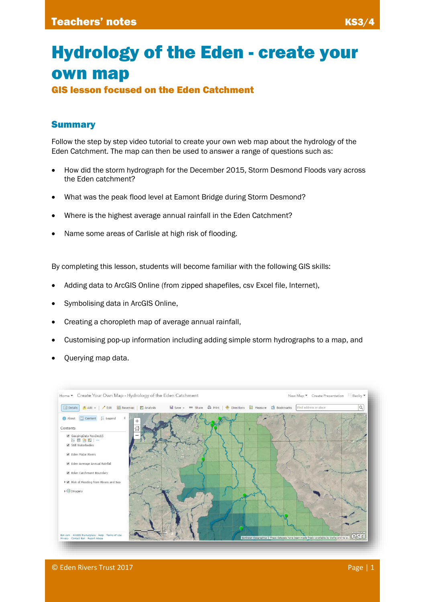# Hydrology of the Eden - create your own map

GIS lesson focused on the Eden Catchment

## **Summary**

Follow the step by step video tutorial to create your own web map about the hydrology of the Eden Catchment. The map can then be used to answer a range of questions such as:

- How did the storm hydrograph for the December 2015, Storm Desmond Floods vary across the Eden catchment?
- What was the peak flood level at Eamont Bridge during Storm Desmond?
- Where is the highest average annual rainfall in the Eden Catchment?
- Name some areas of Carlisle at high risk of flooding.

By completing this lesson, students will become familiar with the following GIS skills:

- Adding data to ArcGIS Online (from zipped shapefiles, csv Excel file, Internet),
- Symbolising data in ArcGIS Online,
- Creating a choropleth map of average annual rainfall,
- Customising pop-up information including adding simple storm hydrographs to a map, and
- Querying map data.

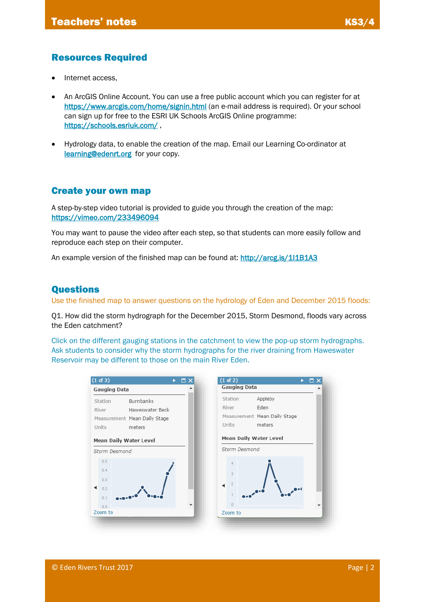## Resources Required

- Internet access,
- An ArcGIS Online Account. You can use a free public account which you can register for at <https://www.arcgis.com/home/signin.html> (an e-mail address is required). Or your school can sign up for free to the ESRI UK Schools ArcGIS Online programme: <https://schools.esriuk.com/>,
- Hydrology data, to enable the creation of the map. Email our Learning Co-ordinator at [learning@edenrt.org](mailto:learning@edenrt.org) for your copy.

#### Create your own map

A step-by-step video tutorial is provided to guide you through the creation of the map: <https://vimeo.com/233496094>

You may want to pause the video after each step, so that students can more easily follow and reproduce each step on their computer.

An example version of the finished map can be found at: http://arcg.is/111B1A3

#### Questions

Use the finished map to answer questions on the hydrology of Eden and December 2015 floods:

Q1. How did the storm hydrograph for the December 2015, Storm Desmond, floods vary across the Eden catchment?

Click on the different gauging stations in the catchment to view the pop-up storm hydrographs. Ask students to consider why the storm hydrographs for the river draining from Haweswater Reservoir may be different to those on the main River Eden.

| (1 of 3)<br>$\times$<br>▭<br>► | (1 of 2)                      |
|--------------------------------|-------------------------------|
| <b>Gauging Data</b>            | <b>Gauging Data</b>           |
| Burnbanks<br>Station           | Appleby<br>Station            |
| River<br>Haweswater Beck       | Eden<br>River                 |
| Measurement Mean Daily Stage   | Measurement Mean Daily Stage  |
| Units<br>meters                | Units<br>meters               |
| <b>Mean Daily Water Level</b>  | <b>Mean Daily Water Level</b> |
| Storm Desmond                  | Storm Desmond                 |
| 0.5                            |                               |
| 0.4                            | 3                             |
| 0.3                            |                               |
| 0.2                            | <sup>2</sup>                  |
| 0.1                            |                               |
|                                |                               |
| 0.0                            | $\Box$                        |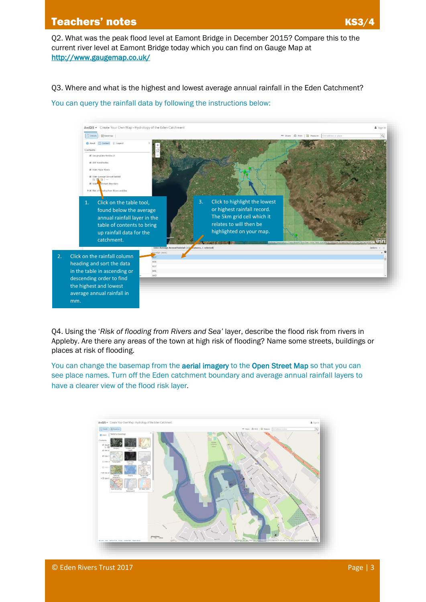# **Teachers' notes KS3/4 and Teachers' notes KS3**

Q2. What was the peak flood level at Eamont Bridge in December 2015? Compare this to the current river level at Eamont Bridge today which you can find on Gauge Map at <http://www.gaugemap.co.uk/>

Q3. Where and what is the highest and lowest average annual rainfall in the Eden Catchment?

You can query the rainfall data by following the instructions below:



Q4. Using the '*Risk of flooding from Rivers and Sea'* layer, describe the flood risk from rivers in Appleby. Are there any areas of the town at high risk of flooding? Name some streets, buildings or places at risk of flooding.

You can change the basemap from the **aerial imagery** to the Open Street Map so that you can see place names. Turn off the Eden catchment boundary and average annual rainfall layers to have a clearer view of the flood risk layer*.*